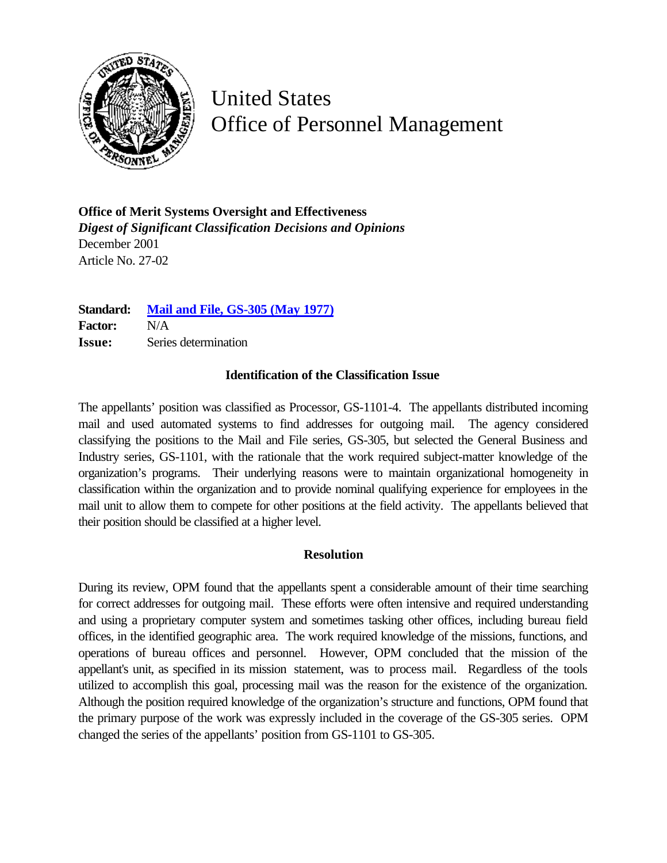

United States Office of Personnel Management

**Office of Merit Systems Oversight and Effectiveness** *Digest of Significant Classification Decisions and Opinions* December 2001 Article No. 27-02

**Standard: [Mail and File, GS-305](http://www.opm.gov/fedclass/gs0305.pdf) (May 1977) Factor:** N/A **Issue:** Series determination

## **Identification of the Classification Issue**

The appellants' position was classified as Processor, GS-1101-4. The appellants distributed incoming mail and used automated systems to find addresses for outgoing mail. The agency considered classifying the positions to the Mail and File series, GS-305, but selected the General Business and Industry series, GS-1101, with the rationale that the work required subject-matter knowledge of the organization's programs. Their underlying reasons were to maintain organizational homogeneity in classification within the organization and to provide nominal qualifying experience for employees in the mail unit to allow them to compete for other positions at the field activity. The appellants believed that their position should be classified at a higher level.

## **Resolution**

During its review, OPM found that the appellants spent a considerable amount of their time searching for correct addresses for outgoing mail. These efforts were often intensive and required understanding and using a proprietary computer system and sometimes tasking other offices, including bureau field offices, in the identified geographic area. The work required knowledge of the missions, functions, and operations of bureau offices and personnel. However, OPM concluded that the mission of the appellant's unit, as specified in its mission statement, was to process mail. Regardless of the tools utilized to accomplish this goal, processing mail was the reason for the existence of the organization. Although the position required knowledge of the organization's structure and functions, OPM found that the primary purpose of the work was expressly included in the coverage of the GS-305 series. OPM changed the series of the appellants' position from GS-1101 to GS-305.